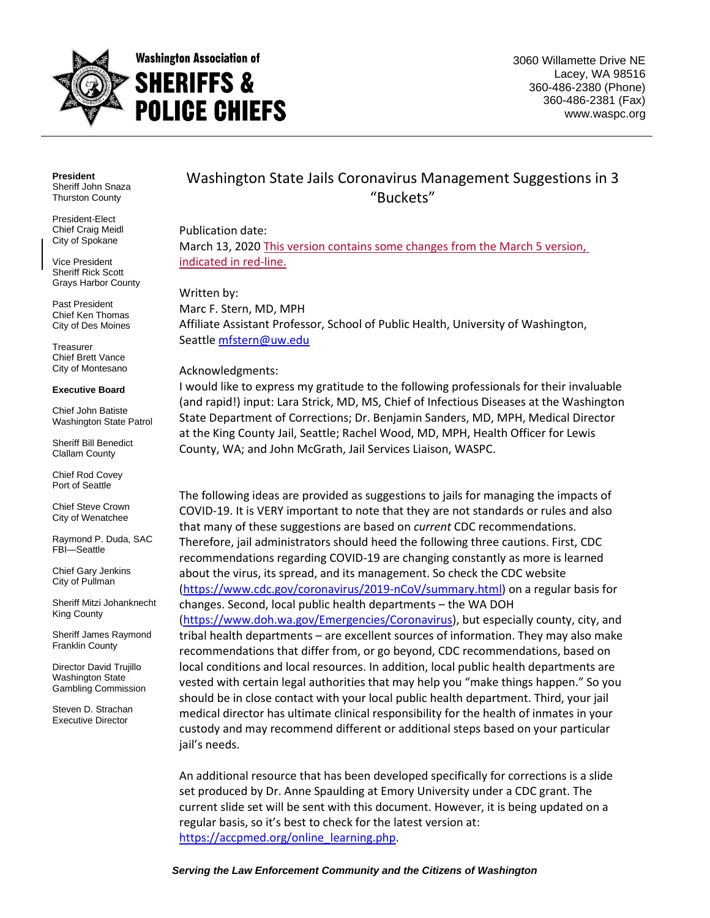

3060 Willamette Drive NE Lacey, WA 98516 360-486-2380 (Phone) 360-486-2381 (Fax) www.waspc.org

**President** Sheriff John Snaza Thurston County

President-Elect Chief Craig Meidl City of Spokane

Vice President Sheriff Rick Scott Grays Harbor County

Past President Chief Ken Thomas City of Des Moines

**Treasurer** Chief Brett Vance City of Montesano

#### **Executive Board**

Chief John Batiste Washington State Patrol

Sheriff Bill Benedict Clallam County

Chief Rod Covey Port of Seattle

Chief Steve Crown City of Wenatchee

Raymond P. Duda, SAC FBI—Seattle

Chief Gary Jenkins City of Pullman

Sheriff Mitzi Johanknecht King County

Sheriff James Raymond Franklin County

Director David Trujillo Washington State Gambling Commission

Steven D. Strachan Executive Director

# Washington State Jails Coronavirus Management Suggestions in 3 "Buckets"

Publication date: March 13, 2020 This version contains some changes from the March 5 version, indicated in red-line.

Written by: Marc F. Stern, MD, MPH Affiliate Assistant Professor, School of Public Health, University of Washington, Seattle [mfstern@uw.edu](mailto:mfstern@uw.edu)

#### Acknowledgments:

I would like to express my gratitude to the following professionals for their invaluable (and rapid!) input: Lara Strick, MD, MS, Chief of Infectious Diseases at the Washington State Department of Corrections; Dr. Benjamin Sanders, MD, MPH, Medical Director at the King County Jail, Seattle; Rachel Wood, MD, MPH, Health Officer for Lewis County, WA; and John McGrath, Jail Services Liaison, WASPC.

The following ideas are provided as suggestions to jails for managing the impacts of COVID-19. It is VERY important to note that they are not standards or rules and also that many of these suggestions are based on *current* CDC recommendations. Therefore, jail administrators should heed the following three cautions. First, CDC recommendations regarding COVID-19 are changing constantly as more is learned about the virus, its spread, and its management. So check the CDC website [\(https://www.cdc.gov/coronavirus/2019-nCoV/summary.html\)](https://www.cdc.gov/coronavirus/2019-nCoV/summary.html) on a regular basis for changes. Second, local public health departments – the WA DOH [\(https://www.doh.wa.gov/Emergencies/Coronavirus\)](https://www.doh.wa.gov/Emergencies/Coronavirus), but especially county, city, and tribal health departments – are excellent sources of information. They may also make recommendations that differ from, or go beyond, CDC recommendations, based on local conditions and local resources. In addition, local public health departments are vested with certain legal authorities that may help you "make things happen." So you should be in close contact with your local public health department. Third, your jail medical director has ultimate clinical responsibility for the health of inmates in your custody and may recommend different or additional steps based on your particular jail's needs.

An additional resource that has been developed specifically for corrections is a slide set produced by Dr. Anne Spaulding at Emory University under a CDC grant. The current slide set will be sent with this document. However, it is being updated on a regular basis, so it's best to check for the latest version at: [https://accpmed.org/online\\_learning.php.](https://accpmed.org/online_learning.php)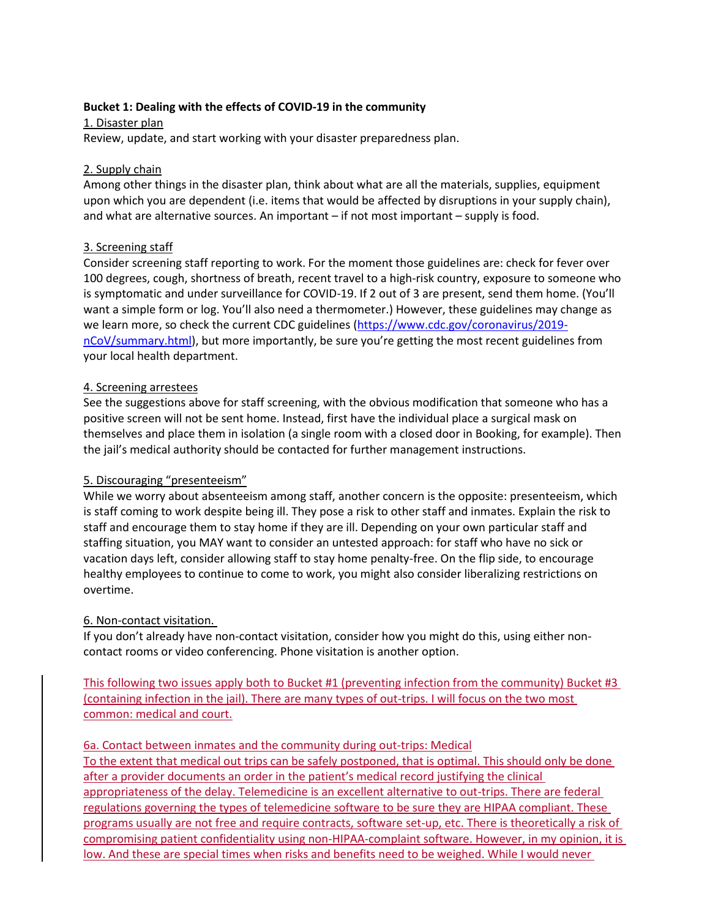### **Bucket 1: Dealing with the effects of COVID-19 in the community**

1. Disaster plan Review, update, and start working with your disaster preparedness plan.

### 2. Supply chain

Among other things in the disaster plan, think about what are all the materials, supplies, equipment upon which you are dependent (i.e. items that would be affected by disruptions in your supply chain), and what are alternative sources. An important – if not most important – supply is food.

### 3. Screening staff

Consider screening staff reporting to work. For the moment those guidelines are: check for fever over 100 degrees, cough, shortness of breath, recent travel to a high-risk country, exposure to someone who is symptomatic and under surveillance for COVID-19. If 2 out of 3 are present, send them home. (You'll want a simple form or log. You'll also need a thermometer.) However, these guidelines may change as we learn more, so check the current CDC guidelines [\(https://www.cdc.gov/coronavirus/2019](https://www.cdc.gov/coronavirus/2019-nCoV/summary.html) [nCoV/summary.html](https://www.cdc.gov/coronavirus/2019-nCoV/summary.html)), but more importantly, be sure you're getting the most recent guidelines from your local health department.

### 4. Screening arrestees

See the suggestions above for staff screening, with the obvious modification that someone who has a positive screen will not be sent home. Instead, first have the individual place a surgical mask on themselves and place them in isolation (a single room with a closed door in Booking, for example). Then the jail's medical authority should be contacted for further management instructions.

# 5. Discouraging "presenteeism"

While we worry about absenteeism among staff, another concern is the opposite: presenteeism, which is staff coming to work despite being ill. They pose a risk to other staff and inmates. Explain the risk to staff and encourage them to stay home if they are ill. Depending on your own particular staff and staffing situation, you MAY want to consider an untested approach: for staff who have no sick or vacation days left, consider allowing staff to stay home penalty-free. On the flip side, to encourage healthy employees to continue to come to work, you might also consider liberalizing restrictions on overtime.

# 6. Non-contact visitation.

If you don't already have non-contact visitation, consider how you might do this, using either noncontact rooms or video conferencing. Phone visitation is another option.

This following two issues apply both to Bucket #1 (preventing infection from the community) Bucket #3 (containing infection in the jail). There are many types of out-trips. I will focus on the two most common: medical and court.

### 6a. Contact between inmates and the community during out-trips: Medical

To the extent that medical out trips can be safely postponed, that is optimal. This should only be done after a provider documents an order in the patient's medical record justifying the clinical appropriateness of the delay. Telemedicine is an excellent alternative to out-trips. There are federal regulations governing the types of telemedicine software to be sure they are HIPAA compliant. These programs usually are not free and require contracts, software set-up, etc. There is theoretically a risk of compromising patient confidentiality using non-HIPAA-complaint software. However, in my opinion, it is low. And these are special times when risks and benefits need to be weighed. While I would never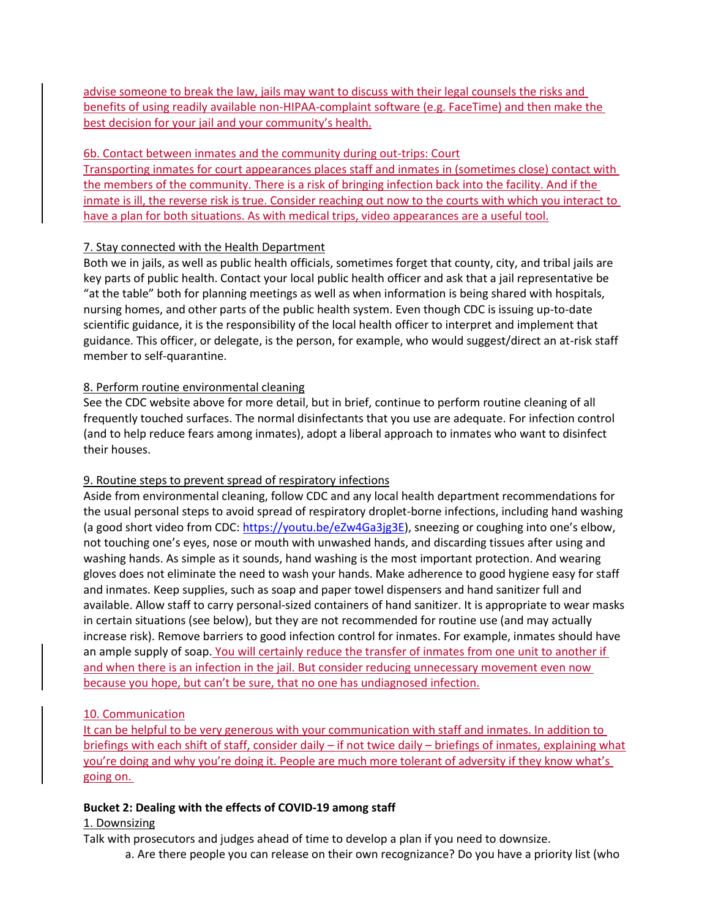advise someone to break the law, jails may want to discuss with their legal counsels the risks and benefits of using readily available non-HIPAA-complaint software (e.g. FaceTime) and then make the best decision for your jail and your community's health.

### 6b. Contact between inmates and the community during out-trips: Court

Transporting inmates for court appearances places staff and inmates in (sometimes close) contact with the members of the community. There is a risk of bringing infection back into the facility. And if the inmate is ill, the reverse risk is true. Consider reaching out now to the courts with which you interact to have a plan for both situations. As with medical trips, video appearances are a useful tool.

# 7. Stay connected with the Health Department

Both we in jails, as well as public health officials, sometimes forget that county, city, and tribal jails are key parts of public health. Contact your local public health officer and ask that a jail representative be "at the table" both for planning meetings as well as when information is being shared with hospitals, nursing homes, and other parts of the public health system. Even though CDC is issuing up-to-date scientific guidance, it is the responsibility of the local health officer to interpret and implement that guidance. This officer, or delegate, is the person, for example, who would suggest/direct an at-risk staff member to self-quarantine.

# 8. Perform routine environmental cleaning

See the CDC website above for more detail, but in brief, continue to perform routine cleaning of all frequently touched surfaces. The normal disinfectants that you use are adequate. For infection control (and to help reduce fears among inmates), adopt a liberal approach to inmates who want to disinfect their houses.

# 9. Routine steps to prevent spread of respiratory infections

Aside from environmental cleaning, follow CDC and any local health department recommendations for the usual personal steps to avoid spread of respiratory droplet-borne infections, including hand washing (a good short video from CDC:<https://youtu.be/eZw4Ga3jg3E>), sneezing or coughing into one's elbow, not touching one's eyes, nose or mouth with unwashed hands, and discarding tissues after using and washing hands. As simple as it sounds, hand washing is the most important protection. And wearing gloves does not eliminate the need to wash your hands. Make adherence to good hygiene easy for staff and inmates. Keep supplies, such as soap and paper towel dispensers and hand sanitizer full and available. Allow staff to carry personal-sized containers of hand sanitizer. It is appropriate to wear masks in certain situations (see below), but they are not recommended for routine use (and may actually increase risk). Remove barriers to good infection control for inmates. For example, inmates should have an ample supply of soap. You will certainly reduce the transfer of inmates from one unit to another if and when there is an infection in the jail. But consider reducing unnecessary movement even now because you hope, but can't be sure, that no one has undiagnosed infection.

# 10. Communication

It can be helpful to be very generous with your communication with staff and inmates. In addition to briefings with each shift of staff, consider daily – if not twice daily – briefings of inmates, explaining what you're doing and why you're doing it. People are much more tolerant of adversity if they know what's going on.

# **Bucket 2: Dealing with the effects of COVID-19 among staff**

# 1. Downsizing

Talk with prosecutors and judges ahead of time to develop a plan if you need to downsize.

a. Are there people you can release on their own recognizance? Do you have a priority list (who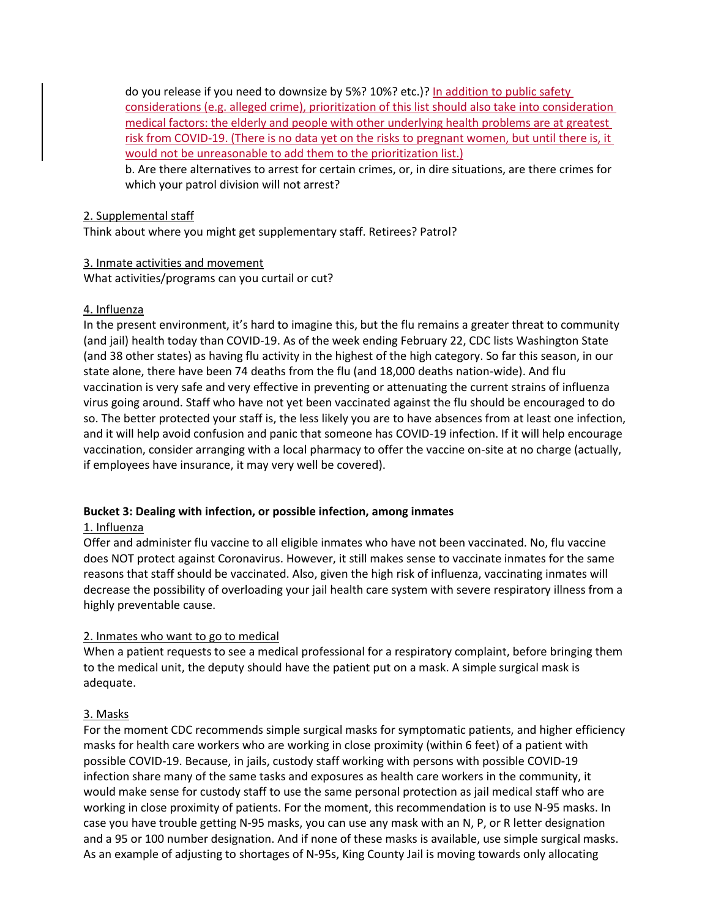do you release if you need to downsize by 5%? 10%? etc.)? In addition to public safety considerations (e.g. alleged crime), prioritization of this list should also take into consideration medical factors: the elderly and people with other underlying health problems are at greatest risk from COVID-19. (There is no data yet on the risks to pregnant women, but until there is, it would not be unreasonable to add them to the prioritization list.)

b. Are there alternatives to arrest for certain crimes, or, in dire situations, are there crimes for which your patrol division will not arrest?

### 2. Supplemental staff

Think about where you might get supplementary staff. Retirees? Patrol?

#### 3. Inmate activities and movement

What activities/programs can you curtail or cut?

### 4. Influenza

In the present environment, it's hard to imagine this, but the flu remains a greater threat to community (and jail) health today than COVID-19. As of the week ending February 22, CDC lists Washington State (and 38 other states) as having flu activity in the highest of the high category. So far this season, in our state alone, there have been 74 deaths from the flu (and 18,000 deaths nation-wide). And flu vaccination is very safe and very effective in preventing or attenuating the current strains of influenza virus going around. Staff who have not yet been vaccinated against the flu should be encouraged to do so. The better protected your staff is, the less likely you are to have absences from at least one infection, and it will help avoid confusion and panic that someone has COVID-19 infection. If it will help encourage vaccination, consider arranging with a local pharmacy to offer the vaccine on-site at no charge (actually, if employees have insurance, it may very well be covered).

### **Bucket 3: Dealing with infection, or possible infection, among inmates**

### 1. Influenza

Offer and administer flu vaccine to all eligible inmates who have not been vaccinated. No, flu vaccine does NOT protect against Coronavirus. However, it still makes sense to vaccinate inmates for the same reasons that staff should be vaccinated. Also, given the high risk of influenza, vaccinating inmates will decrease the possibility of overloading your jail health care system with severe respiratory illness from a highly preventable cause.

### 2. Inmates who want to go to medical

When a patient requests to see a medical professional for a respiratory complaint, before bringing them to the medical unit, the deputy should have the patient put on a mask. A simple surgical mask is adequate.

### 3. Masks

For the moment CDC recommends simple surgical masks for symptomatic patients, and higher efficiency masks for health care workers who are working in close proximity (within 6 feet) of a patient with possible COVID-19. Because, in jails, custody staff working with persons with possible COVID-19 infection share many of the same tasks and exposures as health care workers in the community, it would make sense for custody staff to use the same personal protection as jail medical staff who are working in close proximity of patients. For the moment, this recommendation is to use N-95 masks. In case you have trouble getting N-95 masks, you can use any mask with an N, P, or R letter designation and a 95 or 100 number designation. And if none of these masks is available, use simple surgical masks. As an example of adjusting to shortages of N-95s, King County Jail is moving towards only allocating